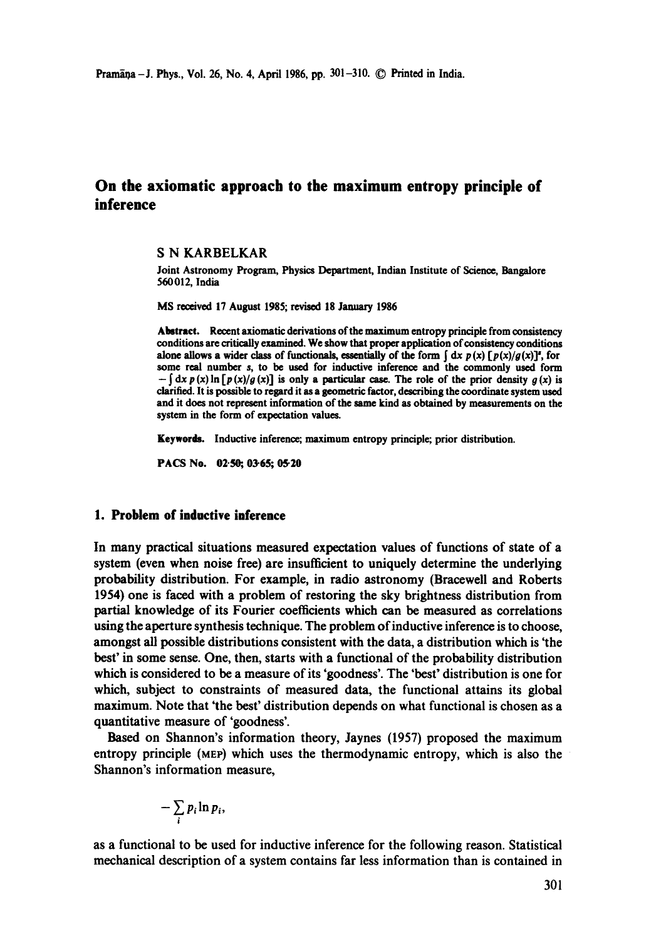# **On the axiomatic approach to the maximum entropy principle of inference**

# S N KARBELKAR

Joint Astronomy Program, Physics Department, Indian Institute of Science, Bangalore 560012, India

MS received 17 August 1985; revised 18 January 1986

Abstract. Recent axiomatic derivations of the maximum entropy principle from consistency conditions are critically examined. We show that proper application of consistency conditions alone allows a wider class of functionals, essentially of the form  $\int dx p(x) [p(x)/g(x)]^2$ , for some real number s, to be used for inductive inference and the commonly used form  $-\int dx p(x) \ln [p(x)/g(x)]$  is only a particular case. The role of the prior density  $g(x)$  is clarified. It is possible to regard it as a geometric factor, describing the coordinate system used and it does not represent information of the same kind as obtained by measurements on the system in the form of expectation values.

**Keywords.** Inductive inference; maximum entropy principle; prior distribution.

PACS No. 02.50; 03.65; 05.20

# **1. Problem of inductive inference**

In many practical situations measured expectation values of functions of state of a system (even when noise free) are insufficient to uniquely determine the underlying probability distribution. For example, in radio astronomy (Bracewell and Roberts 1954) one is faced with a problem of restoring the sky brightness distribution from partial knowledge of its Fourier coefficients which can be measured as correlations using the aperture synthesis technique. The problem of inductive inference is to choose, amongst all possible distributions consistent with the data, a distribution which is 'the best' in some sense. One, then, starts with a functional of the probability distribution which is considered to be a measure of its 'goodness'. The 'best' distribution is one for which, subject to constraints of measured data, the functional attains its global maximum. Note that 'the best' distribution depends on what functional is chosen as a quantitative measure of 'goodness'.

Based on Shannon's information theory, Jaynes (1957) proposed the maximum entropy principle (MEP) which uses the thermodynamic entropy, which is also the Shannon's information measure,

$$
-\sum_i p_i \ln p_i,
$$

as a functional to be used for inductive inference for the following reason. Statistical mechanical description of a system contains far less information than is contained in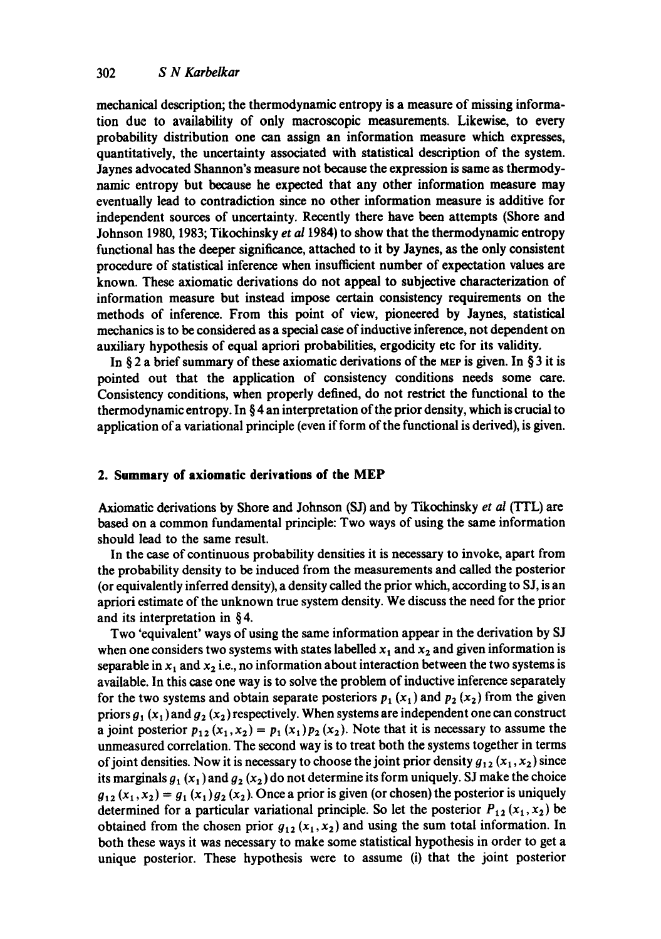mechanical description; the thermodynamic entropy is a measure of missing information due to availability of only macroscopic measurements. Likewise, to every probability distribution one can assign an information measure which expresses, quantitatively, the uncertainty associated with statistical description of the system. Jaynes advocated Shannon's measure not because the expression is same as thermodynamic entropy but because he expected that any other information measure may eventually lead to contradiction since no other information measure is additive for independent sources of uncertainty. Recently there have been attempts (Shore and Johnson 1980, 1983; Tikochinsky *et a11984)* to show that the thermodynamic entropy functional has the deeper significance, attached to it by Jaynes, as the only consistent procedure of statistical inference when insufficient number of expectation values are known. These axiomatic derivations do not appeal to subjective characterization of information measure but instead impose certain consistency requirements on the methods of inference. From this point of view, pioneered by Jaynes, statistical mechanics is to be considered as a special case of inductive inference, not dependent on auxiliary hypothesis of equal apriori probabilities, ergodicity etc for its validity.

In § 2 a brief summary of these axiomatic derivations of the MEP is given. In § 3 it is pointed out that the application of consistency conditions needs some care. Consistency conditions, when properly defined, do not restrict the functional to the thermodynamic entropy. In § 4 an interpretation of the prior density, which is crucial to application of a variational principle (even if form of the functional is derived), is given.

# **2. Summary of axiomatic derivations of the MEP**

Axiomatic derivations by Shore and Johnson (SJ) and by Tikochinsky *et at* (TFL) are based on a common fundamental principle: Two ways of using the same information should lead to the same result.

In the case of continuous probability densities it is necessary to invoke, apart from the probability density to be induced from the measurements and called the posterior (or equivalently inferred density), a density called the prior which, according to SJ, is an apriori estimate of the unknown true system density. We discuss the need for the prior and its interpretation in § 4.

Two 'equivalent' ways of using the same information appear in the derivation by SJ when one considers two systems with states labelled  $x_1$  and  $x_2$  and given information is separable in  $x_1$  and  $x_2$  i.e., no information about interaction between the two systems is available. In this case one way is to solve the problem of inductive inference separately for the two systems and obtain separate posteriors  $p_1$  (x<sub>1</sub>) and  $p_2$  (x<sub>2</sub>) from the given priors  $g_1(x_1)$  and  $g_2(x_2)$  respectively. When systems are independent one can construct a joint posterior  $p_{12}(x_1, x_2) = p_1(x_1)p_2(x_2)$ . Note that it is necessary to assume the unmeasured correlation. The second way is to treat both the systems together in terms of joint densities. Now it is necessary to choose the joint prior density  $g_{12} (x_1, x_2)$  since its marginals  $g_1(x_1)$  and  $g_2(x_2)$  do not determine its form uniquely. SJ make the choice  $g_{12} (x_1, x_2) = g_1 (x_1) g_2 (x_2)$ . Once a prior is given (or chosen) the posterior is uniquely determined for a particular variational principle. So let the posterior  $P_{12}(x_1, x_2)$  be obtained from the chosen prior  $g_{12}(x_1, x_2)$  and using the sum total information. In both these ways it was necessary to make some statistical hypothesis in order to get a unique posterior. These hypothesis were to assume (i) that the joint posterior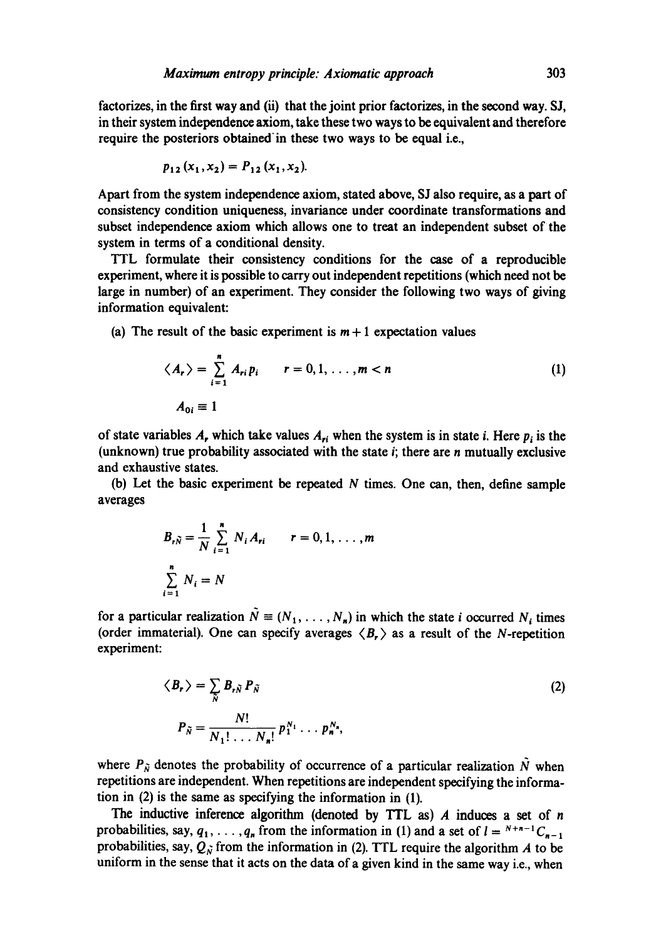factorizes, in the first way and  $(ii)$  that the joint prior factorizes, in the second way. SJ, in their system independence axiom, take these two ways to be equivalent and therefore require the posteriors obtained in these two ways to be equal i.e.,

$$
p_{12}(x_1,x_2)=P_{12}(x_1,x_2).
$$

Apart from the system independence axiom, stated above, SJ also require, as a part of consistency condition uniqueness, invariance under coordinate transformations and subset independence axiom which allows one to treat an independent subset of the system in terms of a conditional density.

TTL formulate their consistency conditions for the case of a reproducible experiment, where it is possible to carry out independent repetitions (which need not be large in number) of an experiment. They consider the following two ways of giving information equivalent:

(a) The result of the basic experiment is  $m + 1$  expectation values

$$
\langle A_r \rangle = \sum_{i=1}^n A_{ri} p_i \qquad r = 0, 1, \dots, m < n
$$
\n
$$
A_{0i} \equiv 1 \tag{1}
$$

of state variables A, which take values  $A_{ri}$  when the system is in state i. Here  $p_i$  is the (unknown) true probability associated with the state  $i$ ; there are  $n$  mutually exclusive and exhaustive states.

(b) Let the basic experiment be repeated  $N$  times. One can, then, define sample averages

$$
B_{r\tilde{N}} = \frac{1}{N} \sum_{i=1}^{n} N_i A_{ri} \qquad r = 0, 1, ..., m
$$
  

$$
\sum_{i=1}^{n} N_i = N
$$

for a particular realization  $\tilde{N} = (N_1, \ldots, N_n)$  in which the state i occurred N<sub>i</sub> times (order immaterial). One can specify averages  $\langle B_r \rangle$  as a result of the N-repetition experiment:

$$
\langle B_r \rangle = \sum_{\tilde{N}} B_{r\tilde{N}} P_{\tilde{N}}
$$
  
\n
$$
P_{\tilde{N}} = \frac{N!}{N_1! \dots N_n!} p_1^{N_1} \dots p_n^{N_n},
$$
  
\n(2)

where  $P_{\tilde{N}}$  denotes the probability of occurrence of a particular realization  $\tilde{N}$  when repetitions are independent. When repetitions are independent specifying the information in (2) is the same as specifying the information in (1).

The inductive inference algorithm (denoted by TTL as)  $A$  induces a set of  $n$ probabilities, say,  $q_1, \ldots, q_n$  from the information in (1) and a set of  $l = {}^{N+n-1}C_{n-1}$ probabilities, say,  $Q_{\tilde{N}}$  from the information in (2). TTL require the algorithm A to be uniform in the sense that it acts on the data of a given kind in the same way i.e., when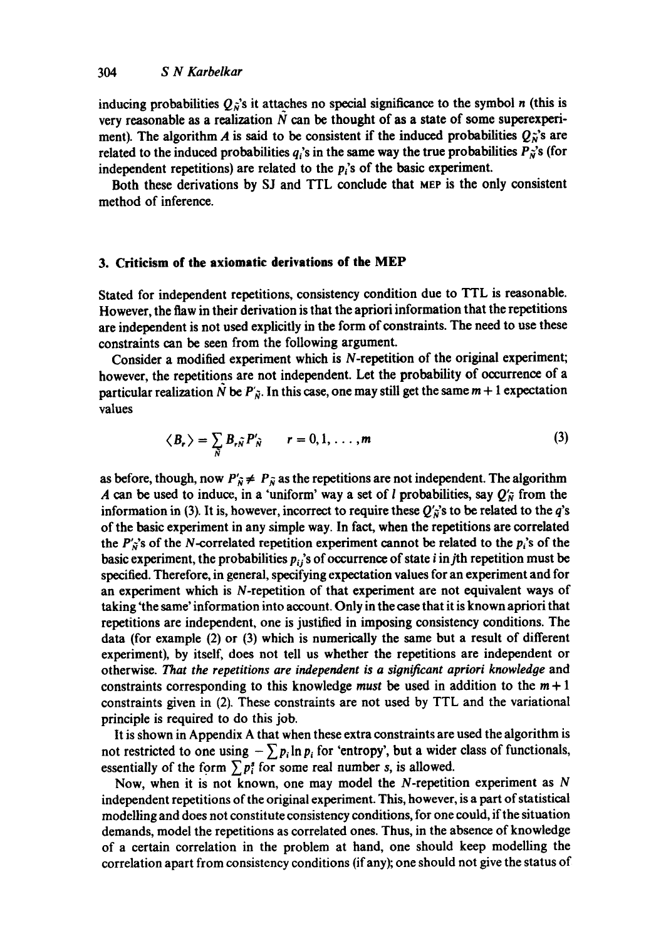inducing probabilities  $Q_{\hat{N}}$ 's it attaches no special significance to the symbol n (this is very reasonable as a realization  $N$  can be thought of as a state of some superexperiment). The algorithm A is said to be consistent if the induced probabilities  $Q_{\lambda}^{\gamma}$ 's are related to the induced probabilities  $q_i$ 's in the same way the true probabilities  $P_{\vec{n}}$ 's (for independent repetitions) are related to the  $p_i$ 's of the basic experiment.

Both these derivations by SJ and TTL conclude that MEP is the only consistent method of inference.

# **3. Criticism of the axiomatic derivations of the MEP**

Stated for independent repetitions, consistency condition due to TTL is reasonable. However, the flaw in their derivation is that the apriori information that the repetitions are independent is not used explicitly in the form of constraints. The need to use these constraints can be seen from the following argument.

Consider a modified experiment which is N-repetition of the original experiment; however, the repetitions are not independent. Let the probability of occurrence of a particular realization N be  $P'_{\tilde{N}}$ . In this case, one may still get the same  $m + 1$  expectation values

$$
\langle B_r \rangle = \sum_{\tilde{N}} B_{r\tilde{N}} P'_{\tilde{N}} \qquad r = 0, 1, \ldots, m \qquad (3)
$$

as before, though, now  $P'_{\hat{N}} \neq P_{\hat{N}}$  as the repetitions are not independent. The algorithm A can be used to induce, in a 'uniform' way a set of l probabilities, say  $Q'_{\tilde{N}}$  from the information in (3). It is, however, incorrect to require these  $Q'_{\vec{\bm{\alpha}}}$ 's to be related to the  $q$ 's of the basic experiment in any simple way. In fact, when the repetitions are correlated the  $P'_\n\chi^2$ 's of the N-correlated repetition experiment cannot be related to the  $p_i$ 's of the basic experiment, the probabilities  $p_i$ 's of occurrence of state i in jth repetition must be specified. Therefore, in general, specifying expectation values for an experiment and for an experiment which is N-repetition of that experiment are not equivalent ways of taking'the same' information into account. Only in the case that it is known apriori that repetitions are independent, one is justified in imposing consistency conditions. The data (for example (2) or (3) which is numerically the same but a result of different experiment), by itself, does not tell us whether the repetitions are independent or otherwise. *That the repetitions are independent is a significant apriori knowledge* and constraints corresponding to this knowledge *must* be used in addition to the  $m + 1$ constraints given in (2). These constraints are not used by TTL and the variational principle is required to do this job.

It is shown in Appendix A that when these extra constraints are used the algorithm is not restricted to one using  $-\sum p_i \ln p_i$  for 'entropy', but a wider class of functionals, essentially of the form  $\sum p_i^s$  for some real number s, is allowed.

Now, when it is not known, one may model the N-repetition experiment as  $N$ independent repetitions of the original experiment. This, however, is a part of statistical modelling and does not constitute consistency conditions, for one could, if the situation demands, model the repetitions as correlated ones. Thus, in the absence of knowledge of a certain correlation in the problem at hand, one should keep modelling the correlation apart from consistency conditions (if any); one should not give the status of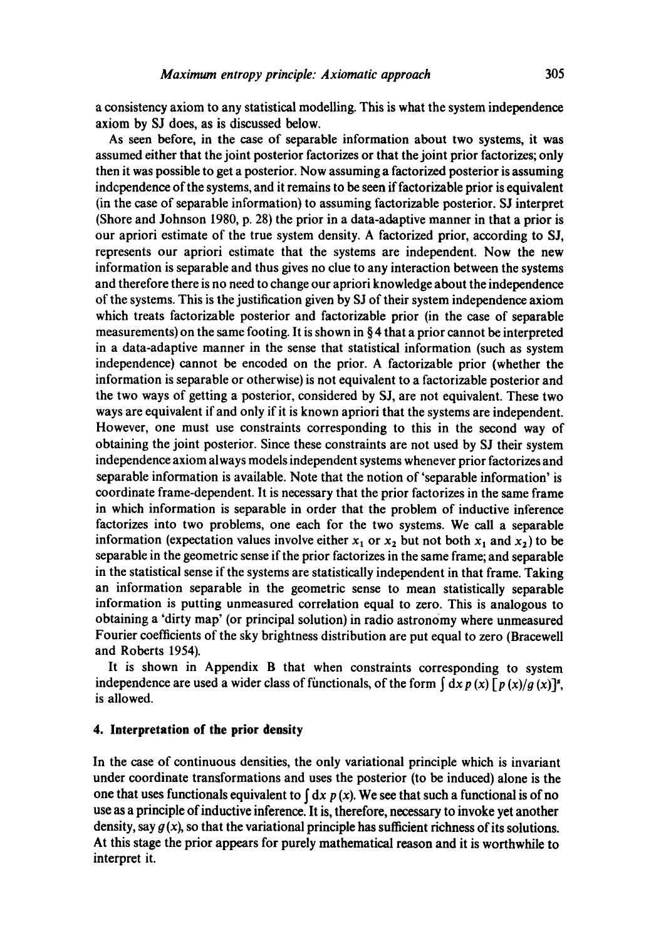a consistency axiom to any statistical modelling. This is what the system independence axiom by SJ does, as is discussed below.

As seen before, in the case of separable information about two systems, it was assumed either that the joint posterior factorizes or that the joint prior factorizes; only then it was possible to get a posterior. Now assuming a factorized posterior is assuming independence of the systems, and it remains to be seen if factorizable prior is equivalent (in the case of separable information) to assuming factorizable posterior. SJ interpret (Shore and Johnson **1980, p. 28)** the prior in a data-adaptive manner in that a prior **is**  our apriori estimate of the true system density. A factorized prior, according to SJ, represents our apriori estimate that the systems are independent. Now the new information is separable and thus gives no clue to any interaction between the systems and therefore there is no need to change our apriori knowledge about the independence of the systems. This is the justification given by SJ of their system independence axiom which treats factorizable posterior and factorizable prior (in the case of separable measurements) on the same footing. It is shown in  $\S 4$  that a prior cannot be interpreted in a data-adaptive manner in the sense that statistical information (such as system independence) cannot be encoded on the prior. A factorizable prior (whether the information is separable or otherwise) is not equivalent to a factorizable posterior and the two ways of getting a posterior, considered by SJ, are not equivalent. These two ways are equivalent if and only if it is known apriori that the systems are independent. However, one must use constraints corresponding to this in the second way of obtaining the joint posterior. Since these constraints are not used by SJ their system independence axiom always models independent systems whenever prior factorizes and separable information is available. Note that the notion of 'separable information' is coordinate frame-dependent. It is necessary that the prior factorizes in the same frame in which information is separable in order that the problem of inductive inference factorizes into two problems, one each for the two systems. We call a separable information (expectation values involve either  $x_1$  or  $x_2$  but not both  $x_1$  and  $x_2$ ) to be separable in the geometric sense if the prior factorizes in the same frame; and separable in the statistical sense if the systems are statistically independent in that frame. Taking an information separable in the geometric sense to mean statistically separable information is putting unmeasured correlation equal to zero. This is analogous to obtaining a 'dirty map' (or principal solution) in radio astronomy where unmeasured Fourier coefficients of the sky brightness distribution are put equal to zero (Bracewell and Roberts 1954).

It is shown in Appendix B that when constraints corresponding to system independence are used a wider class of functionals, of the form  $\int dx p(x) [p(x)/g(x)]^s$ , is allowed.

# **4. Interpretation of the prior density**

In the case of continuous densities, the only variational principle which is invariant under coordinate transformations and uses the posterior (to be induced) alone is the one that uses functionals equivalent to  $\int dx p(x)$ . We see that such a functional is of no use as a principle of inductive inference. It is, therefore, necessary to invoke yet another density, say  $g(x)$ , so that the variational principle has sufficient richness of its solutions. At this stage the prior appears for purely mathematical reason and it is worthwhile to interpret it.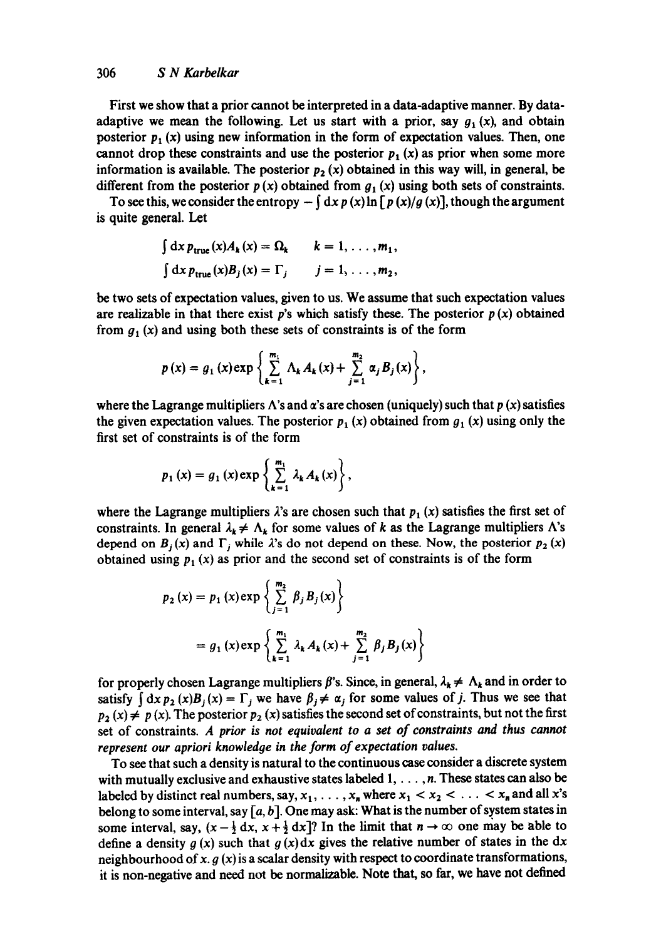# 306 *S N Karbelkar*

First we show that a prior cannot be interpreted in a data-adaptive manner. By dataadaptive we mean the following. Let us start with a prior, say  $g_1(x)$ , and obtain posterior  $p_1(x)$  using new information in the form of expectation values. Then, one cannot drop these constraints and use the posterior  $p_1(x)$  as prior when some more information is available. The posterior  $p_2(x)$  obtained in this way will, in general, be different from the posterior  $p(x)$  obtained from  $q_1(x)$  using both sets of constraints.

To see this, we consider the entropy  $-\int dx p(x) \ln \int p(x)/g(x)$ , though the argument is quite general. Let

$$
\int dx p_{true}(x) A_k(x) = \Omega_k \qquad k = 1, ..., m_1,
$$
  

$$
\int dx p_{true}(x) B_j(x) = \Gamma_j \qquad j = 1, ..., m_2,
$$

be two sets of expectation values, given to us. We assume that such expectation values are realizable in that there exist p's which satisfy these. The posterior  $p(x)$  obtained from  $g_1(x)$  and using both these sets of constraints is of the form

$$
p(x) = g_1(x) \exp \left\{ \sum_{k=1}^{m_1} \Lambda_k A_k(x) + \sum_{j=1}^{m_2} \alpha_j B_j(x) \right\},\,
$$

where the Lagrange multipliers  $\Lambda$ 's and  $\alpha$ 's are chosen (uniquely) such that p (x) satisfies the given expectation values. The posterior  $p_1(x)$  obtained from  $q_1(x)$  using only the first set of constraints is of the form

$$
p_1(x) = g_1(x) \exp \left\{ \sum_{k=1}^{m_1} \lambda_k A_k(x) \right\},
$$

where the Lagrange multipliers  $\lambda$ 's are chosen such that  $p_1(x)$  satisfies the first set of constraints. In general  $\lambda_k \neq \Lambda_k$  for some values of k as the Lagrange multipliers  $\Lambda$ 's depend on  $B_j(x)$  and  $\Gamma_j$  while  $\lambda$ 's do not depend on these. Now, the posterior  $p_2(x)$ obtained using  $p_1(x)$  as prior and the second set of constraints is of the form

$$
p_2(x) = p_1(x) \exp \left\{ \sum_{j=1}^{m_2} \beta_j B_j(x) \right\}
$$
  
=  $g_1(x) \exp \left\{ \sum_{k=1}^{m_1} \lambda_k A_k(x) + \sum_{j=1}^{m_2} \beta_j B_j(x) \right\}$ 

for properly chosen Lagrange multipliers  $\beta$ 's. Since, in general,  $\lambda_k \neq \Lambda_k$  and in order to satisfy  $\int dx p_2(x)B_j(x)=\Gamma_j$  we have  $\beta_j \neq \alpha_j$  for some values of j. Thus we see that  $p_2(x) \neq p(x)$ . The posterior  $p_2(x)$  satisfies the second set of constraints, but not the first set of constraints. *A prior is not equivalent to a set of constraints and thus cannot represent our apriori knowledge in the form of expectation values.* 

To see that such a density is natural to the continuous case consider a discrete system with mutually exclusive and exhaustive states labeled  $1, \ldots, n$ . These states can also be labeled by distinct real numbers, say,  $x_1, \ldots, x_n$  where  $x_1 < x_2 < \ldots < x_n$  and all x's belong to some interval, say  $[a, b]$ . One may ask: What is the number of system states in some interval, say,  $(x - \frac{1}{2} dx, x + \frac{1}{2} dx$ ]? In the limit that  $n \to \infty$  one may be able to define a density  $g(x)$  such that  $g(x)dx$  gives the relative number of states in the dx neighbourhood of x.  $g(x)$  is a scalar density with respect to coordinate transformations, it is non-negative and need not be normalizable. Note that, so far, we have not defined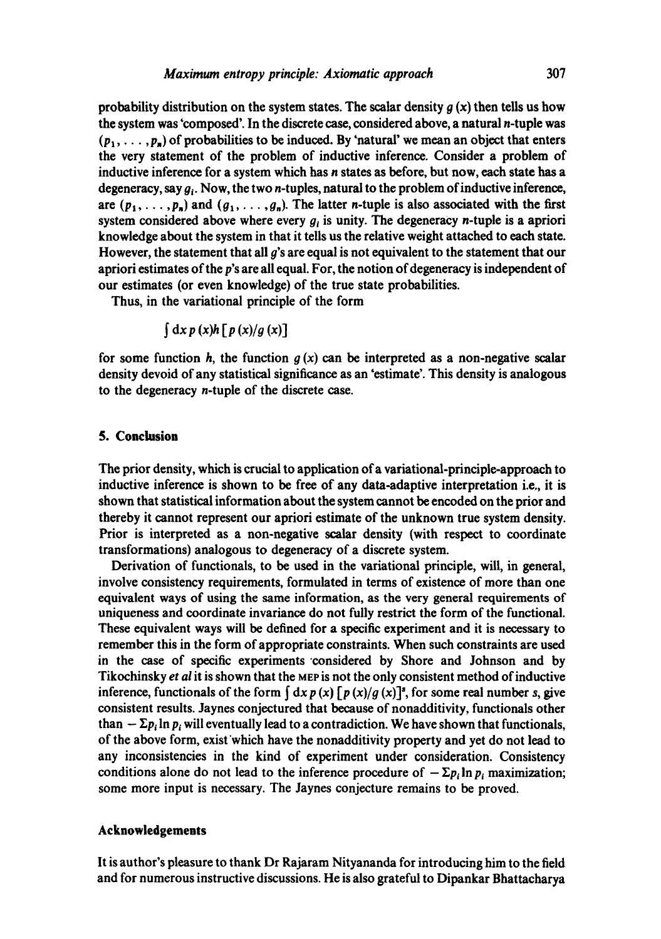probability distribution on the system states. The scalar density  $q(x)$  then tells us how the system was 'composed'. In the discrete case, considered above, a natural n-tuple was  $(p_1, \ldots, p_n)$  of probabilities to be induced. By 'natural' we mean an object that enters the very statement of the problem of inductive inference. Consider a problem of inductive inference for a system which has n states as before, but now, each state has a degeneracy, say  $g_i$ . Now, the two *n*-tuples, natural to the problem of inductive inference, are  $(p_1, \ldots, p_n)$  and  $(q_1, \ldots, q_n)$ . The latter *n*-tuple is also associated with the first system considered above where every  $g_i$  is unity. The degeneracy n-tuple is a apriori knowledge about the system in that it tells us the relative weight attached to each state. However, the statement that all  $\boldsymbol{g}$ 's are equal is not equivalent to the statement that our apriori estimates of the p's are all equal. For, the notion of degeneracy is independent of our estimates (or even knowledge) of the true state probabilities.

Thus, in the variational principle of the form

$$
\int dx\, p\,(x)h\left[\,p\,(x)/g\,(x)\right]
$$

for some function h, the function  $g(x)$  can be interpreted as a non-negative scalar density devoid of any statistical significance as an 'estimate'. This density is analogous to the degeneracy n-tuple of the discrete case.

#### **5. Conclusion**

The prior density, which is crucial to application of a variational-principle-approach to inductive inference is shown to be free of any data-adaptive interpretation i.e., it is shown that statistical information about the system cannot be encoded on the prior and thereby it cannot represent our apriori estimate of the unknown true system density. Prior is interpreted as a non-negative scalar density (with respect to coordinate transformations) analogous to degeneracy of a discrete system.

Derivation of functionals, to be used in the variational principle, will, in general, involve consistency requirements, formulated in terms of existence of more than one equivalent ways of using the same information, as the very general requirements of uniqueness and coordinate invariance do not fully restrict the form of the functional. These equivalent ways will be defined for a specific experiment and it is necessary to remember this in the form of appropriate constraints. When such constraints are used in the case of specific experiments considered by Shore and Johnson and by Tikochinsky *et al* it is shown that the MEP is not the only consistent method of inductive inference, functionals of the form  $\int dx p(x) \int p(x)/g(x)$ <sup>3</sup>, for some real number s, give consistent results. Jaynes conjectured that because of nonadditivity, functionals other than  $-\Sigma p_i \ln p_i$  will eventually lead to a contradiction. We have shown that functionals, of the above form, exist'which have the nonadditivity property and yet do not lead to any inconsistencies in the kind of experiment under consideration. Consistency conditions alone do not lead to the inference procedure of  $-\Sigma p_i \ln p_i$  maximization; some more input is necessary. The Jaynes conjecture remains to be proved.

### **Acknowledgements**

It is author's pleasure to thank Dr Rajaram Nityananda for introducing him to the field and for numerous instructive discussions. He is also grateful to Dipankar Bhattacharya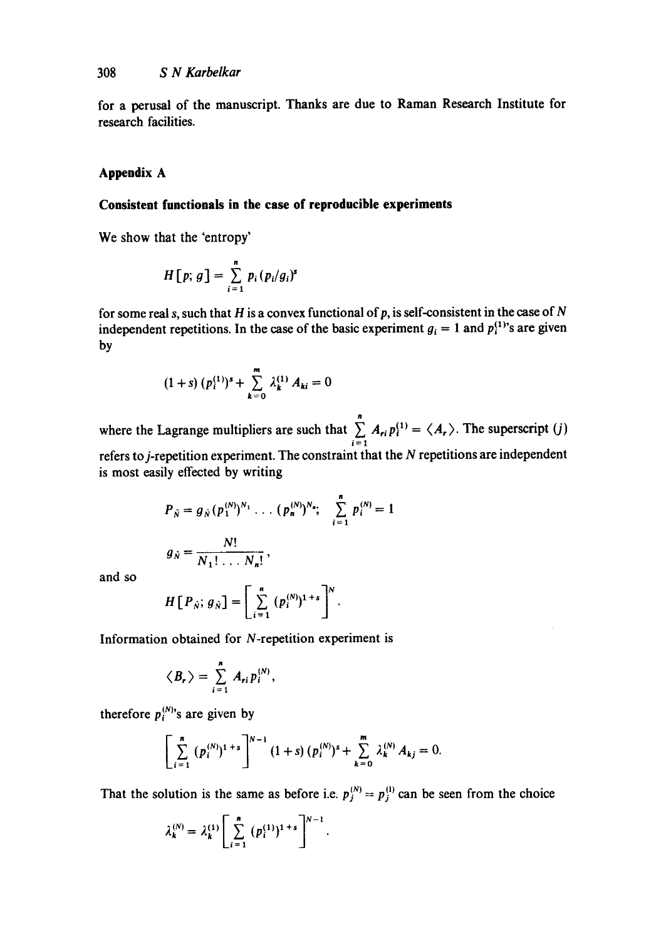**for** a perusal of the manuscript. Thanks are due to Raman Research Institute for research facilities.

# **Appendix A**

# **Consistent functionals in the case of reproducible experiments**

We show that the 'entropy'

$$
H[p; g] = \sum_{i=1}^{n} p_i (p_i/g_i)^s
$$

for some real s, such that H is a convex functional of p, is self-consistent in the case of  $N$ independent repetitions. In the case of the basic experiment  $g_i = 1$  and  $p_i^{(1)}$ 's are given by

$$
(1+s)\,(p_i^{(1)})^s+\sum_{k=0}^m\,\lambda_k^{(1)}\,A_{ki}=0
$$

where the Lagrange multipliers are such that  $\sum_{i=1}^{n} A_{ri} p_i^{(1)} = \langle A_r \rangle$ . The superscript (j) i=l refers to j-repetition experiment. The constraint that the N repetitions are independent is most easily effected by writing

$$
P_{\tilde{N}} = g_{\tilde{N}} (p_1^{(N)})^{N_1} \dots (p_n^{(N)})^{N_n}; \quad \sum_{i=1}^n p_i^{(N)} = 1
$$
  

$$
g_{\tilde{N}} = \frac{N!}{N_1! \dots N_n!},
$$

and so

$$
H[P_{\hat{N}}; g_{\hat{N}}] = \left[\sum_{i=1}^n (p_i^{(N)})^{1+s}\right]^N.
$$

Information obtained for N-repetition experiment is

$$
\langle B_r \rangle = \sum_{i=1}^n A_{ri} p_i^{(N)},
$$

therefore  $p_i^{(N)}$ 's are given by

$$
\left[\sum_{i=1}^n (p_i^{(N)})^{1+s}\right]^{N-1} (1+s) (p_i^{(N)})^s + \sum_{k=0}^m \lambda_k^{(N)} A_{kj} = 0.
$$

That the solution is the same as before i.e.  $p_j^{(N)} = p_j^{(1)}$  can be seen from the choice

$$
\lambda_k^{(N)} = \lambda_k^{(1)} \left[ \sum_{i=1}^n (p_i^{(1)})^{1+s} \right]^{N-1}.
$$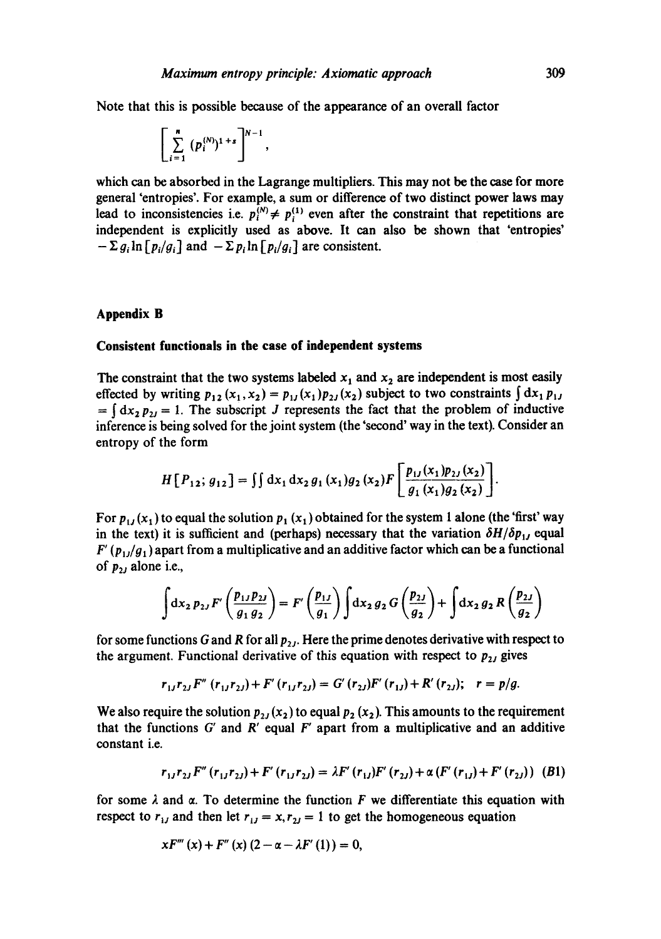Note that this is possible because of the appearance of an overall factor

$$
\left[\sum_{i=1}^n (p_i^{(N)})^{1+s}\right]^{N-1},
$$

which can be absorbed in the Lagrange multipliers. This may not be the case for more general 'entropies'. For example, a sum or difference of two distinct power laws may lead to inconsistencies i.e.  $p_i^{(N)} \neq p_i^{(1)}$  even after the constraint that repetitions are independent is explicitly used as above. It can also be shown that 'entropies'  $-\sum g_i \ln \left[p_i/g_i\right]$  and  $-\sum p_i \ln \left[p_i/g_i\right]$  are consistent.

# **Appendix B**

#### **Consistent functionals in the case of independent systems**

The constraint that the two systems labeled  $x_1$  and  $x_2$  are independent is most easily effected by writing  $p_{12} (x_1, x_2) = p_{11} (x_1) p_{21} (x_2)$  subject to two constraints  $\int dx_1 p_{11}$  $=\int dx_1 p_{11} = 1$ . The subscript J represents the fact that the problem of inductive inference is being solved for the joint system (the 'second' way in the text). Consider an entropy of the form

$$
H[P_{12}; g_{12}] = \iint dx_1 dx_2 g_1(x_1)g_2(x_2) F\left[\frac{p_{11}(x_1)p_{21}(x_2)}{g_1(x_1)g_2(x_2)}\right].
$$

For  $p_{11}(x_1)$  to equal the solution  $p_1(x_1)$  obtained for the system 1 alone (the 'first' way in the text) it is sufficient and (perhaps) necessary that the variation  $\delta H/\delta p_{1J}$  equal  $F'(p_{1}/q_{1})$  apart from a multiplicative and an additive factor which can be a functional of  $p_{2j}$  alone i.e.,

$$
\int dx_2 p_{2J} F'\left(\frac{p_{1J} p_{2J}}{g_1 g_2}\right) = F'\left(\frac{p_{1J}}{g_1}\right) \int dx_2 g_2 G\left(\frac{p_{2J}}{g_2}\right) + \int dx_2 g_2 R\left(\frac{p_{2J}}{g_2}\right)
$$

for some functions G and R for all  $p_{2J}$ . Here the prime denotes derivative with respect to the argument. Functional derivative of this equation with respect to  $p_{2j}$  gives

$$
r_{1J}r_{2J}F''(r_{1J}r_{2J})+F'(r_{1J}r_{2J})=G'(r_{2J})F'(r_{1J})+R'(r_{2J}); r=p/g.
$$

We also require the solution  $p_{2J}(x_2)$  to equal  $p_2(x_2)$ . This amounts to the requirement that the functions  $G'$  and  $R'$  equal  $F'$  apart from a multiplicative and an additive constant i.e.

$$
r_{1J}r_{2J}F''(r_{1J}r_{2J}) + F'(r_{1J}r_{2J}) = \lambda F'(r_{1J})F'(r_{2J}) + \alpha (F'(r_{1J}) + F'(r_{2J}))
$$
 (B1)

for some  $\lambda$  and  $\alpha$ . To determine the function F we differentiate this equation with respect to  $r_{1j}$  and then let  $r_{1j} = x, r_{2j} = 1$  to get the homogeneous equation

$$
xF'''(x) + F''(x) (2 - \alpha - \lambda F'(1)) = 0,
$$